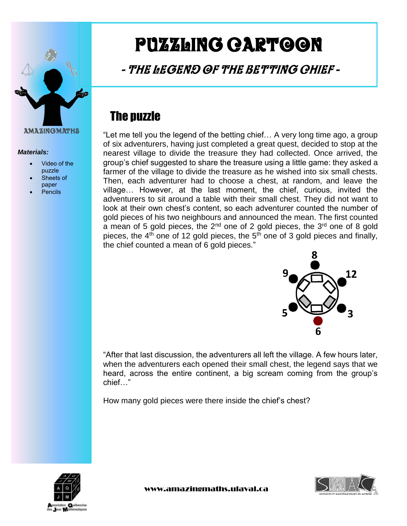

#### *Materials:*

- Video of the puzzle
- Sheets of paper
- Pencils

# Puzzling cartoon

- The Legend of the Betting Chief -

# The puzzle

"Let me tell you the legend of the betting chief… A very long time ago, a group of six adventurers, having just completed a great quest, decided to stop at the nearest village to divide the treasure they had collected. Once arrived, the group's chief suggested to share the treasure using a little game: they asked a farmer of the village to divide the treasure as he wished into six small chests. Then, each adventurer had to choose a chest, at random, and leave the village… However, at the last moment, the chief, curious, invited the adventurers to sit around a table with their small chest. They did not want to look at their own chest's content, so each adventurer counted the number of gold pieces of his two neighbours and announced the mean. The first counted a mean of 5 gold pieces, the  $2^{nd}$  one of 2 gold pieces, the  $3^{rd}$  one of 8 gold pieces, the  $4<sup>th</sup>$  one of 12 gold pieces, the  $5<sup>th</sup>$  one of 3 gold pieces and finally, the chief counted a mean of 6 gold pieces."



"After that last discussion, the adventurers all left the village. A few hours later, when the adventurers each opened their small chest, the legend says that we heard, across the entire continent, a big scream coming from the group's chief…"

How many gold pieces were there inside the chief's chest?



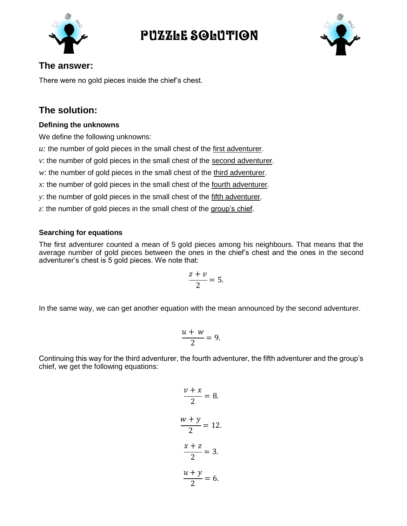

# Puzzle Solution



# **The answer:**

There were no gold pieces inside the chief's chest.

# **The solution:**

## **Defining the unknowns**

We define the following unknowns:

*u:* the number of gold pieces in the small chest of the first adventurer.

*v*: the number of gold pieces in the small chest of the second adventurer.

w: the number of gold pieces in the small chest of the third adventurer.

*x*: the number of gold pieces in the small chest of the fourth adventurer.

*y*: the number of gold pieces in the small chest of the fifth adventurer.

z: the number of gold pieces in the small chest of the group's chief.

## **Searching for equations**

The first adventurer counted a mean of 5 gold pieces among his neighbours. That means that the average number of gold pieces between the ones in the chief's chest and the ones in the second adventurer's chest is 5 gold pieces. We note that:

$$
\frac{z+v}{2} = 5.
$$

In the same way, we can get another equation with the mean announced by the second adventurer.

$$
\frac{u+w}{2}=9.
$$

Continuing this way for the third adventurer, the fourth adventurer, the fifth adventurer and the group's chief, we get the following equations:

$$
\frac{v+x}{2} = 8.
$$
  

$$
\frac{w+y}{2} = 12.
$$
  

$$
\frac{x+z}{2} = 3.
$$
  

$$
\frac{u+y}{2} = 6.
$$